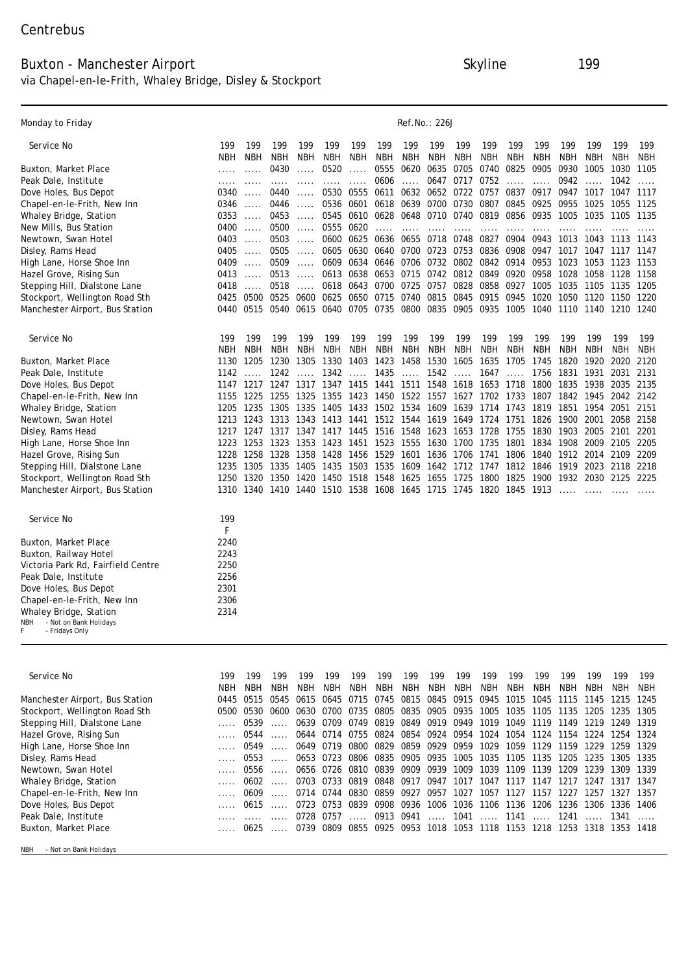#### Buxton - Manchester Airport Skyline 199 via Chapel-en-le-Frith, Whaley Bridge, Disley & Stockport

| <b>Monday to Friday</b>                         |      |             |            |             |      |      |            |            | <b>Ref.No.: 226J</b> |            |            |      |            |      |            |            |            |
|-------------------------------------------------|------|-------------|------------|-------------|------|------|------------|------------|----------------------|------------|------------|------|------------|------|------------|------------|------------|
| Service No                                      | 199  | 199         | 199        | 199         | 199  | 199  | 199        | 199        | 199                  | 199        | 199        | 199  | 199        | 199  | 199        | 199        | 199        |
|                                                 | NBH  | <b>NBH</b>  | <b>NBH</b> | NBH         | NBH  | NBH  | NBH        | NBH        | NBH                  | <b>NBH</b> | NBH        | NBH  | NBH        | NBH  | NBH        | <b>NBH</b> | <b>NBH</b> |
| <b>Buxton, Market Place</b>                     |      |             | 0430       |             | 0520 |      | 0555       | 0620       | 0635                 | 0705       | 0740       | 0825 | 0905       | 0930 | 1005       | 1030       | 1105       |
| Peak Dale, Institute                            |      |             |            |             |      |      | 0606       |            | 0647                 | 0717       | 0752       |      |            | 0942 |            | 1042       |            |
| <b>Dove Holes, Bus Depot</b>                    | 0340 |             | 0440       |             | 0530 | 0555 | 0611       | 0632       | 0652                 | 0722       | 0757       | 0837 | 0917       | 0947 | 10<br>17   | 1047       | 1117       |
| <b>Chapel-en-le-Frith, New Inn</b>              | 0346 |             | 0446       |             | 0536 | 0601 | 0618       | 0639       | 0700                 | 0730       | 0807       | 0845 | 0925       | 0955 | 1025       | 1055       | 1125       |
| <b>Whaley Bridge, Station</b>                   | 0353 |             | 0453       | -----       | 0545 | 0610 | 0628       | 0648       | 0710                 | 0740       | 0819       | 0856 | 0935       | 1005 | 1035       | 1105       | 1135       |
| <b>New Mills, Bus Station</b>                   | 0400 |             | 0500       |             | 0555 | 0620 |            |            |                      |            |            |      |            |      |            |            |            |
| Newtown, Swan Hotel                             | 0403 |             | 0503       |             | 0600 | 0625 | 0636       | 0655       | 0718                 | 0748       | 0827       | 0904 | 0943       | 1013 | 1043       | 1113       | 1143       |
| Disley, Rams Head                               | 0405 |             | 0505       |             | 0605 | 0630 | 0640       | 0700       | 0723                 | 0753       | 0836       | 0908 | 0947       | 1017 | 1047       | 11<br>17   | 1147       |
| High Lane, Horse Shoe Inn                       | 0409 |             | 0509       |             | 0609 | 0634 | 0646       | 0706       | 0732                 | 0802       | 0842       | 0914 | 0953       | 1023 | 1053       | 1123       | 1153       |
| <b>Hazel Grove, Rising Sun</b>                  | 0413 |             | 0513       | $- - - - -$ | 0613 | 0638 | 0653       | 0715       | 0742                 | 0812       | 0849       | 0920 | 0958       | 1028 | 1058       | 1128       | 1158       |
| <b>Stepping Hill, Dialstone Lane</b>            | 0418 |             | 0518       |             | 0618 | 0643 | 0700       | 0725       | 0757                 | 0828       | 0858       | 0927 | 1005       | 1035 | 1105       | 1135       | 1205       |
| Stockport, Wellington Road Sth                  | 0425 | 0500        | 0525       | 0600        | 0625 | 0650 | 0715       | 0740       | 0815                 | 0845       | 0915       | 0945 | 1020       | 1050 | 1120       | 1150       | 1220       |
| <b>Manchester Airport, Bus Station</b>          | 0440 | 0515        | 0540       | 0615        | 0640 | 0705 | 0735       | 0800       | 0835                 | 0905       | 0935       | 1005 | 1040       | 1110 | 1140       | 1210       | 1240       |
| <b>Service No</b>                               | 199  | 199         | 199        | 199         | 199  | 199  | 199        | 199        | 199                  | 199        | 199        | 199  | 199        | 199  | 199        | 199        | 199        |
|                                                 | NBH  | <b>NBH</b>  | <b>NBH</b> | <b>NBH</b>  | NBH  | NBH  | <b>NBH</b> | <b>NBH</b> | <b>NBH</b>           | NBH        | <b>NBH</b> | NBH  | <b>NBH</b> | NBH  | <b>NBH</b> | <b>NBH</b> | <b>NBH</b> |
| <b>Buxton, Market Place</b>                     | 1130 | 1205        | 1230       | 1305        | 1330 | 1403 | 1423       | 1458       | 1530                 | 1605       | 1635       | 1705 | 1745       | 1820 | 1920       | 2020       | 2120       |
| Peak Dale, Institute                            | 1142 |             | 1242       |             | 1342 |      | 1435       |            | 1542                 |            | 1647       |      | 1756       | 1831 | 1931       | 2031       | 2131       |
| Dove Holes, Bus Depot                           | 1147 | 1217        | 1247       | 1317        | 1347 | 1415 | 1441       | 1511       | 1548                 | 1618       | 1653       | 1718 | 1800       | 1835 | 1938       | 2035       | 2135       |
| <b>Chapel-en-le-Frith, New Inn</b>              | 1155 | 1225        | 1255       | 1325        | 1355 | 1423 | 1450       | 1522       | 1557                 | 1627       | 1702       | 1733 | 1807       | 1842 | 1945       | 2042       | 2142       |
| Whaley Bridge, Station                          | 1205 | 1235        | 1305       | 1335        | 1405 | 1433 | 1502       | 1534       | 1609                 | 1639       | 1714       | 1743 | 1819       | 1851 | 1954       | 2051       | 2151       |
| Newtown, Swan Hotel                             | 1213 | 1243        | 1313       | 1343        | 1413 | 1441 | 1512       | 1544       | 1619                 | 1649       | 1724       | 1751 | 1826       | 1900 | 2001       | 2058       | 2158       |
| <b>Disley, Rams Head</b>                        | 1217 | 1247        | 1317       | 1347        | 1417 | 1445 | 1516       | 1548       | 1623                 | 1653       | 1728       | 1755 | 1830       | 1903 | 2005       | 2101       | 2201       |
| <b>High Lane, Horse Shoe Inn</b>                | 1223 | 1253        | 1323       | 1353        | 1423 | 1451 | 1523       | 1555       | 1630                 | 1700       | 1735       | 1801 | 1834       | 1908 | 2009       | 2105       | 2205       |
| <b>Hazel Grove, Rising Sun</b>                  | 1228 | 1258        | 1328       | 1358        | 1428 | 1456 | 1529       | 1601       | 1636                 | 1706       | 1741       | 1806 | 1840       | 1912 | 2014       | 2109       | 2209       |
| Stepping Hill, Dialstone Lane                   | 1235 | 1305        | 1335       | 1405        | 1435 | 1503 | 1535       | 1609       | 1642                 | 1712       | 1747       | 1812 | 1846       | 1919 | 2023       | 2118       | 2218       |
| Stockport, Wellington Road Sth                  | 1250 | 1320        | 1350       | 1420        | 1450 | 1518 | 1548       | 1625       | 1655                 | 1725       | 1800       | 1825 | 1900       | 1932 | 2030       | 2125       | 2225       |
| <b>Manchester Airport, Bus Station</b>          | 1310 | <b>1340</b> | 1410       | 1440        | 1510 | 1538 | 1608       | 1645       | 1715                 | 1745       | 1820       | 1845 | 1913       |      |            |            |            |
| Service No                                      | 199  |             |            |             |      |      |            |            |                      |            |            |      |            |      |            |            |            |
|                                                 | F    |             |            |             |      |      |            |            |                      |            |            |      |            |      |            |            |            |
| <b>Buxton, Market Place</b>                     | 2240 |             |            |             |      |      |            |            |                      |            |            |      |            |      |            |            |            |
| <b>Buxton, Railway Hotel</b>                    | 2243 |             |            |             |      |      |            |            |                      |            |            |      |            |      |            |            |            |
| Victoria Park Rd, Fairfield Centre              | 2250 |             |            |             |      |      |            |            |                      |            |            |      |            |      |            |            |            |
| Peak Dale, Institute                            | 2256 |             |            |             |      |      |            |            |                      |            |            |      |            |      |            |            |            |
| Dove Holes, Bus Depot                           | 2301 |             |            |             |      |      |            |            |                      |            |            |      |            |      |            |            |            |
| <b>Chapel-en-le-Frith, New Inn</b>              | 2306 |             |            |             |      |      |            |            |                      |            |            |      |            |      |            |            |            |
| <b>Whaley Bridge, Station</b>                   | 2314 |             |            |             |      |      |            |            |                      |            |            |      |            |      |            |            |            |
| - Not on Bank Holidays<br>NBH<br>- Fridays Only |      |             |            |             |      |      |            |            |                      |            |            |      |            |      |            |            |            |
|                                                 |      |             |            |             |      |      |            |            |                      |            |            |      |            |      |            |            |            |

| Service No                             | 199  | 199    | 199  | 199 | 199                 | 199                         | 199       | 199       | 199                           | 199              | 199            | 199       | 199        | 199  | 199    | 199       | 199        |
|----------------------------------------|------|--------|------|-----|---------------------|-----------------------------|-----------|-----------|-------------------------------|------------------|----------------|-----------|------------|------|--------|-----------|------------|
|                                        | NBH  | NBH    | NBH  | NBH | NBH                 | NBH                         | NBH       | NBH       | <b>NBH</b>                    | NBH              | NBH            | NBH       | <b>NBH</b> | NBH  | NBH    | NBH       | <b>NBH</b> |
| <b>Manchester Airport, Bus Station</b> | 0445 | 0515   | 0545 |     | 0615 0645           | 0715                        | 0745      | 0815      | 0845 0915 0945                |                  |                | 1015      | 1045       | 1115 | 1145   | 1215      | 1245       |
| <b>Stockport, Wellington Road Sth</b>  | 0500 | 0530   | 0600 |     | 0630 0700           | 0735                        | 0805      |           | 0835 0905 0935 1005 1035 1105 |                  |                |           |            | 1135 | 1205   | 1235      | 1305       |
| <b>Stepping Hill, Dialstone Lane</b>   |      | 0539   |      |     | 0639 0709           | 0749                        | 0819      | 0849      | 0919 0949                     |                  | 1019           | 1049      | 1119       | 1149 | 1219   | 1249      | 1319       |
| <b>Hazel Grove, Rising Sun</b>         |      | 0544   |      |     | 0644 0714 0755 0824 |                             |           | 0854      | 0924 0954                     |                  | 1024           | 1054      | 1124       | 1154 | 1224   | 1254      | 1324       |
| <b>High Lane, Horse Shoe Inn</b>       |      |        | 0549 |     | 0649 0719 0800      |                             | 0829      | 0859      | 0929 0959                     |                  | 1029           | 1059 1129 |            | 1159 | 1229   | 1259 1329 |            |
| <b>Disley, Rams Head</b>               |      | 0553   |      |     | 0653 0723           | 0806                        | 0835      | 0905      | 0935                          | 1005             | 1035           | 1105      | 1135       | 1205 | 1235   | 1305      | 1335       |
| <b>Newtown, Swan Hotel</b>             |      | 0556   |      |     | 0656 0726 0810      |                             | 0839      | 0909      | 0939                          | 1009             | 1039           | 1109 1139 |            | 1209 | 1239   | 1309      | 1339       |
| <b>Whaley Bridge, Station</b>          |      | $0602$ |      |     | 0703 0733 0819      |                             | 0848 0917 |           | 0947                          | 1017             | 1047 1117 1147 |           |            | 1217 | 1247   | 1317      | -1347      |
| <b>Chapel-en-le-Frith, New Inn</b>     |      | 0609   |      |     | 0714 0744           | 0830                        | 0859      | 0927      | 0957                          | 1027             | 1057           | 1127      | 1157       | 1227 | 1257   | 1327      | 1357       |
| Dove Holes, Bus Depot                  |      | $0615$ |      |     | 0723 0753           | 0839                        | 0908      | 0936      | 1006                          |                  | 1036 1106 1136 |           | 1206       | 1236 | 1306   | 1336      | 1406       |
| Peak Dale, Institute                   |      |        |      |     | 0728 0757           | $\sim$ $\sim$ $\sim$ $\sim$ | 0913 0941 |           | $\cdots$                      | 1041  1141  1241 |                |           |            |      | . 1341 |           |            |
| <b>Buxton, Market Place</b>            |      | 0625   |      |     | 0739 0809           | 0855                        | 0925      | 0953 1018 |                               |                  | 1053 1118      | 1153 1218 |            | 1253 | 1318   | 1353      | 1418       |
| - Not on Bank Holidays<br><b>NBH</b>   |      |        |      |     |                     |                             |           |           |                               |                  |                |           |            |      |        |           |            |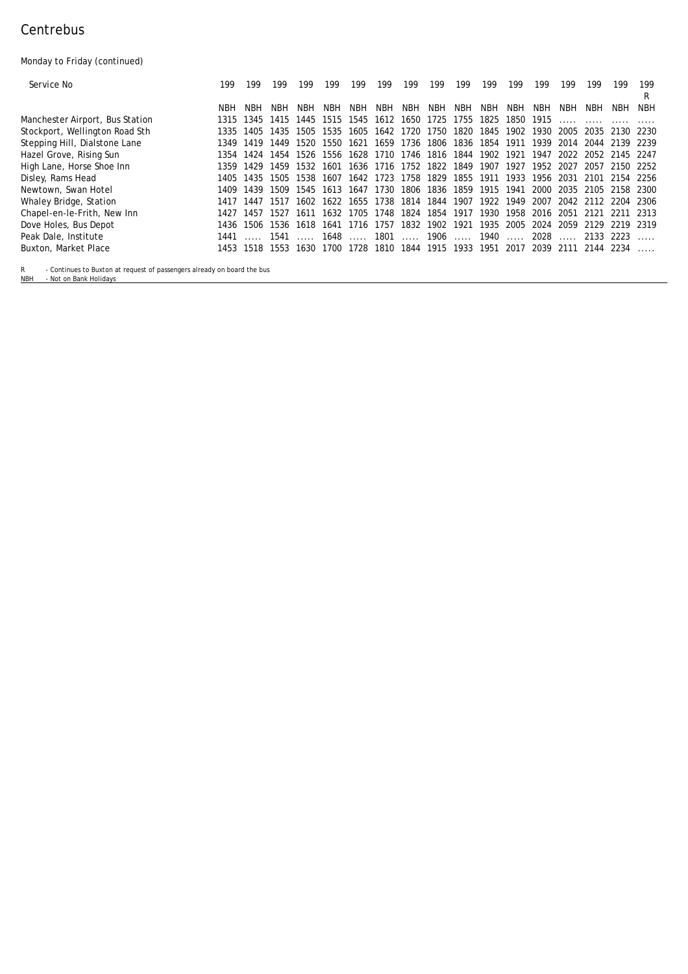## **Centrebus**

Monday to Friday (continued)

| <b>Service No</b>                      | 199  | 199  | 199       | 199  | 199       | 199  | 199        | 199                 | 199                      | 199  | 199     | 199       | 199                           | 199      | 199                 | 199                 | 199<br>в   |
|----------------------------------------|------|------|-----------|------|-----------|------|------------|---------------------|--------------------------|------|---------|-----------|-------------------------------|----------|---------------------|---------------------|------------|
|                                        | NBH  | NRH  | NBH       | NBH  | NBH       | NBH  | <b>NBH</b> | NBH                 | NBH                      | NBH  | NBH     | NBH       | NBH                           | NBH      | NBH                 | NBH                 | <b>NBH</b> |
| <b>Manchester Airport, Bus Station</b> | 1315 | 1345 | 1415      | 1445 | 1515      | 1545 | 1612       | 1650                | 1725                     | 1755 | 1825    | 1850      | 1915                          |          |                     |                     |            |
| Stockport, Wellington Road Sth         | 1335 | 1405 | 1435      | 1505 | 1535      | 1605 |            | 1642 1720 1750      |                          | 1820 | 1845    | 1902      | 1930                          | 2005     |                     | 2035 2130 2230      |            |
| <b>Stepping Hill, Dialstone Lane</b>   | 1349 | 1419 | 1449      | 1520 | 1550      | 1621 |            |                     | 1659 1736 1806 1836      |      | 1854    | 1911      | 1939                          |          |                     | 2014 2044 2139 2239 |            |
| <b>Hazel Grove, Rising Sun</b>         | 1354 | 1424 | 1454      | 1526 | 1556      |      |            |                     | 1628 1710 1746 1816 1844 |      | 1902    | 1921      | 1947                          |          |                     | 2022 2052 2145 2247 |            |
| <b>High Lane, Horse Shoe Inn</b>       | 1359 | 1429 | 1459      | 1532 | 1601      |      |            |                     | 1636 1716 1752 1822      | 1849 | 1907    | 1927      | 1952                          | 2027     |                     | 2057 2150 2252      |            |
| <b>Disley, Rams Head</b>               | 1405 | 1435 | 1505      | 1538 | 1607      |      |            | 1642 1723 1758 1829 |                          | 1855 | 1911    | 1933      | 1956                          |          |                     | 2031 2101 2154 2256 |            |
| Newtown, Swan Hotel                    | 1409 | 1439 | 1509      | 1545 | 1613      | 1647 | 1730       | 1806                | 1836                     | 1859 | 1915    | 1941      | 2000                          | 2035     |                     | 2105 2158 2300      |            |
| <b>Whaley Bridge, Station</b>          | 1417 | 1447 | 1517      |      | 1602 1622 |      |            | 1655 1738 1814      | 1844                     | 1907 | 1922    | 1949      | 2007                          |          |                     | 2042 2112 2204 2306 |            |
| <b>Chapel-en-le-Frith, New Inn</b>     | 1427 | 1457 | 1527      |      | 1611 1632 |      |            |                     | 1705 1748 1824 1854 1917 |      | 1930    |           | 1958 2016 2051 2121 2211 2313 |          |                     |                     |            |
| <b>Dove Holes, Bus Depot</b>           | 1436 | 1506 | 1536      | 1618 | 1641      | 1716 | 1757       | 1832                | 1902                     | 1921 | 1935    | 2005      | 2024                          | 2059     | 2129                | 2219                | 2319       |
| <b>Peak Dale, Institute</b>            | 1441 |      | 1541      |      | 1648      |      |            |                     | …… 1801 …… 1906          |      | …… 1940 | $\cdots$  | 2028                          | $\cdots$ | 2133 2223           |                     |            |
| <b>Buxton, Market Place</b>            | 1453 |      | 1518 1553 | 1630 | 1700      |      |            | 1728 1810 1844      | 1915                     | 1933 |         | 1951 2017 |                               |          | 2039 2111 2144 2234 |                     |            |

R - Continues to Buxton at request of passengers already on board the bus NBH - Not on Bank Holidays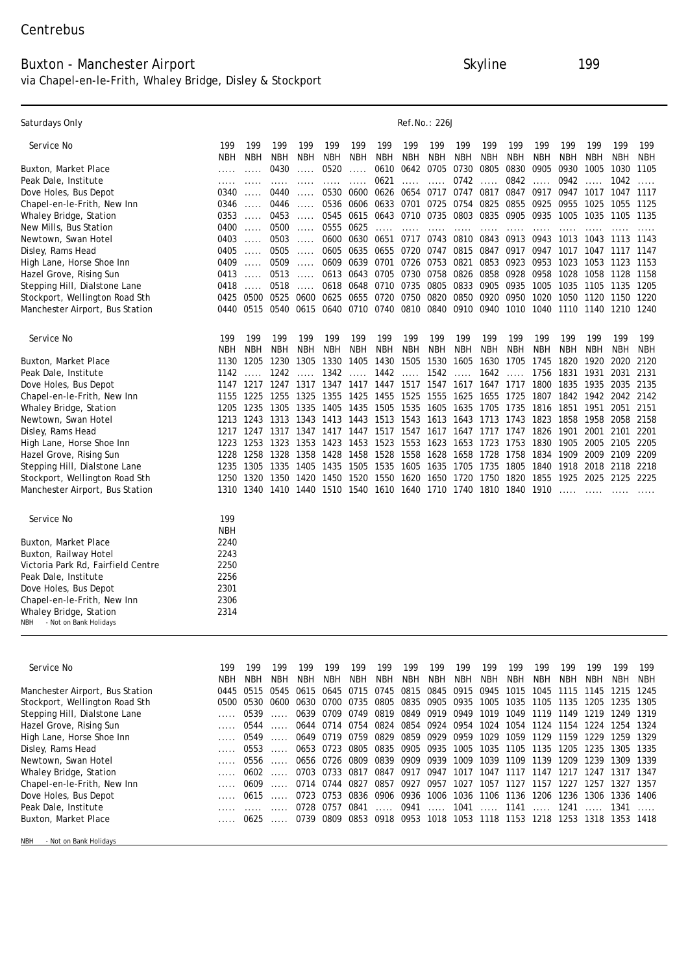### Buxton - Manchester Airport Skyline 199 via Chapel-en-le-Frith, Whaley Bridge, Disley & Stockport

| <b>Saturdays Only</b>                                   |             |             |            |      |            |                |           |            | <b>Ref.No.: 226J</b> |      |      |      |            |      |            |            |            |
|---------------------------------------------------------|-------------|-------------|------------|------|------------|----------------|-----------|------------|----------------------|------|------|------|------------|------|------------|------------|------------|
| <b>Service No</b>                                       | 199         | 199         | 199        | 199  | 199        | 199            | 199       | 199        | 199                  | 199  | 199  | 199  | 199        | 199  | 199        | 199        | 199        |
|                                                         | NBH         | NBH         | <b>NBH</b> | NBH  | <b>NBH</b> | NBH            | NBH       | <b>NBH</b> | NBH                  | NBH  | NBH  | NBH  | NBH        | NBH  | NBH        | NBH        | <b>NBH</b> |
| <b>Buxton, Market Place</b>                             |             |             | 0430       |      | 0520       |                | 0610      | 0642       | 0705                 | 0730 | 0805 | 0830 | 0905       | 0930 | 1005       | 1030       | 1105       |
| Peak Dale, Institute                                    |             |             |            |      |            | $\overline{a}$ | 0621      |            |                      | 0742 |      | 0842 |            | 0942 |            | 1042       |            |
| <b>Dove Holes, Bus Depot</b>                            | 0340        |             | 0440       |      | 0530       | 0600           | 0626      | 0654       | 0717                 | 0747 | 0817 | 0847 | 0917       | 0947 | 1017       | 1047       | 1117       |
| <b>Chapel-en-le-Frith, New Inn</b>                      | 0346        |             | 0446       |      | 0536       | 0606           | 0633      | 0701       | 0725                 | 0754 | 0825 | 0855 | 0925       | 0955 | 1025       | 1055       | 1125       |
| <b>Whaley Bridge, Station</b>                           | 0353        |             | 0453       |      | 0545       | 0615           | 0643      | 0710       | 0735                 | 0803 | 0835 | 0905 | 0935       | 1005 | 1035       | 1105       | 1135       |
| <b>New Mills, Bus Station</b>                           | 0400        |             | 0500       |      | 0555       | 0625           |           |            |                      |      |      |      |            |      |            |            |            |
| Newtown, Swan Hotel                                     | 0403        |             | 0503       |      | 0600       | 0630           | 0651      | 0717       | 0743                 | 0810 | 0843 | 0913 | 0943       | 1013 | 1043       | 1113       | 1143       |
| <b>Disley, Rams Head</b>                                | 0405        |             | 0505       |      | 0605       | 0635           | 0655      | 0720       | 0747                 | 0815 | 0847 | 0917 | 0947       | 1017 | 1047       | 1117       | 1147       |
| High Lane, Horse Shoe Inn                               | 0409        |             | 0509       |      | 0609       | 0639           | 0701      | 0726       | 0753                 | 0821 | 0853 | 0923 | 0953       | 1023 | 1053       | 1123       | 1153       |
| <b>Hazel Grove, Rising Sun</b>                          | 0413        |             | 0513       |      | 0613       | 0643           | 0705      | 0730       | 0758                 | 0826 | 0858 | 0928 | 0958       | 1028 | 1058       | 1128       | 1158       |
| <b>Stepping Hill, Dialstone Lane</b>                    | 0418        |             | 0518       |      | 0618       | 0648           | 0710      | 0735       | 0805                 | 0833 | 0905 | 0935 | 1005       | 1035 | 1105       | 1135       | 1205       |
| <b>Stockport, Wellington Road Sth</b>                   | 0425        | 0500        | 0525       | 0600 | 0625       | 0655           | 0720      | 0750       | 0820                 | 0850 | 0920 | 0950 | 1020       | 1050 | 1120       | 1150       | 1220       |
| <b>Manchester Airport, Bus Station</b>                  | 0440        | 0515        | 0540       | 0615 | 0640       |                | 0710 0740 | 0810       | 0840                 | 0910 | 0940 | 1010 | 1040       | 1110 | 1140       | 1210       | 1240       |
| <b>Service No</b>                                       | 199         | 199         | 199        | 199  | 199        | 199            | 199       | 199        | 199                  | 199  | 199  | 199  | 199        | 199  | 199        | 199        | 199        |
|                                                         | NBH         | NBH         | NBH        | NBH  | <b>NBH</b> | <b>NBH</b>     | NBH       | NBH        | NBH                  | NBH  | NBH  | NBH  | <b>NBH</b> | NBH  | <b>NBH</b> | <b>NBH</b> | <b>NBH</b> |
| Buxton, Market Place                                    | <b>1130</b> | 1205        | 1230       | 1305 | 1330       | 1405           | 1430      | 1505       | 1530                 | 1605 | 1630 | 1705 | 1745       | 1820 | 1920       | 2020       | 2120       |
| Peak Dale, Institute                                    | 1142        |             | 1242       |      | 1342       |                | 1442      |            | 1542                 |      | 1642 |      | 1756       | 1831 | 1931       | 2031       | 2131       |
| <b>Dove Holes, Bus Depot</b>                            | 1147        | 1217        | 1247       | 1317 | 1347       | 1417           | 1447      | 1517       | 1547                 | 1617 | 1647 | 1717 | 1800       | 1835 | 1935       | 2035       | 2135       |
| <b>Chapel-en-le-Frith, New Inn</b>                      | 1155        | 1225        | 1255       | 1325 | 1355       | 1425           | 1455      | 1525       | 1555                 | 1625 | 1655 | 1725 | 1807       | 1842 | 1942       | 2042       | 2142       |
| <b>Whaley Bridge, Station</b>                           | 1205        | 1235        | 1305       | 1335 | 1405       | 1435           | 1505      | 1535       | 1605                 | 1635 | 1705 | 1735 | 1816       | 1851 | 1951       | 2051       | 2151       |
| Newtown, Swan Hotel                                     | 1213        | 1243        | 1313       | 1343 | 1413       | 1443           | 1513      | 1543       | 1613                 | 1643 | 1713 | 1743 | 1823       | 1858 | 1958       | 2058       | 2158       |
| <b>Disley, Rams Head</b>                                | 1217        | 1247        | 1317       | 1347 | 1417       | 1447           | 1517      | 1547       | 1617                 | 1647 | 1717 | 1747 | 1826       | 1901 | 2001       | 2101       | 2201       |
| <b>High Lane, Horse Shoe Inn</b>                        | 1223        | 1253        | 1323       | 1353 | 1423       | 1453           | 1523      | 1553       | 1623                 | 1653 | 1723 | 1753 | 1830       | 1905 | 2005       | 2105       | 2205       |
| <b>Hazel Grove, Rising Sun</b>                          | 1228        | 1258        | 1328       | 1358 | 1428       | 1458           | 1528      | 1558       | 1628                 | 1658 | 1728 | 1758 | 1834       | 1909 | 2009       | 2109       | 2209       |
| <b>Stepping Hill, Dialstone Lane</b>                    | 1235        | 1305        | 1335       | 1405 | 1435       | 1505           | 1535      | 1605       | 1635                 | 1705 | 1735 | 1805 | 1840       | 1918 | 2018       | 2118       | 2218       |
| <b>Stockport, Wellington Road Sth</b>                   | 1250        | <b>1320</b> | 1350       | 1420 | 1450       | 1520           | 1550      | 1620       | 1650                 | 1720 | 1750 | 1820 | 1855       | 1925 | 2025       | 2125       | 2225       |
| Manchester Airport, Bus Station                         | 1310        | <b>1340</b> | 1410       | 1440 | 1510       | 1540           | 1610      | 1640       | 1710                 | 1740 | 1810 | 1840 | 1910       |      |            |            |            |
| <b>Service No</b>                                       | 199         |             |            |      |            |                |           |            |                      |      |      |      |            |      |            |            |            |
|                                                         | <b>NBH</b>  |             |            |      |            |                |           |            |                      |      |      |      |            |      |            |            |            |
| <b>Buxton, Market Place</b>                             | 2240        |             |            |      |            |                |           |            |                      |      |      |      |            |      |            |            |            |
| <b>Buxton, Railway Hotel</b>                            | 2243        |             |            |      |            |                |           |            |                      |      |      |      |            |      |            |            |            |
| Victoria Park Rd, Fairfield Centre                      | 2250        |             |            |      |            |                |           |            |                      |      |      |      |            |      |            |            |            |
| <b>Peak Dale, Institute</b>                             | 2256        |             |            |      |            |                |           |            |                      |      |      |      |            |      |            |            |            |
| <b>Dove Holes, Bus Depot</b>                            | 2301        |             |            |      |            |                |           |            |                      |      |      |      |            |      |            |            |            |
| <b>Chapel-en-le-Frith, New Inn</b>                      | 2306        |             |            |      |            |                |           |            |                      |      |      |      |            |      |            |            |            |
| Whaley Bridge, Station<br>- Not on Bank Holidays<br>NBH | 2314        |             |            |      |            |                |           |            |                      |      |      |      |            |      |            |            |            |
|                                                         |             |             |            |      |            |                |           |            |                      |      |      |      |            |      |            |            |            |

| Service No                             | 199 | 199  | 199  | 199                                                    | 199        | 199 | 199        | 199                                                    | 199  | 199                 | 199 | 199 | 199 | 199                                                                         | 199  | 199            | 199        |
|----------------------------------------|-----|------|------|--------------------------------------------------------|------------|-----|------------|--------------------------------------------------------|------|---------------------|-----|-----|-----|-----------------------------------------------------------------------------|------|----------------|------------|
|                                        | NBH | NBH  | NBH  | NBH                                                    | <b>NBH</b> | NBH | <b>NBH</b> | NBH                                                    | NBH  | NBH                 | NBH | NBH | NBH | NBH                                                                         | NBH  | NBH            | <b>NBH</b> |
| <b>Manchester Airport, Bus Station</b> |     |      |      |                                                        |            |     |            |                                                        |      |                     |     |     |     | 0445 0515 0545 0615 0645 0715 0745 0815 0845 0915 0945 1015 1045 1115 1145  |      | 1215 1245      |            |
| <b>Stockport, Wellington Road Sth</b>  |     |      |      |                                                        |            |     |            |                                                        |      |                     |     |     |     | 0500 0530 0600 0630 0700 0735 0805 0835 0905 0935 1005 1035 1105 1135       |      | 1205 1235 1305 |            |
| <b>Stepping Hill, Dialstone Lane</b>   |     |      | 0539 | 0639 0709 0749 0819 0849 0919 0949 1019 1049 1119 1149 |            |     |            |                                                        |      |                     |     |     |     |                                                                             |      | 1219 1249 1319 |            |
| <b>Hazel Grove, Rising Sun</b>         |     |      | 0544 |                                                        |            |     |            |                                                        |      |                     |     |     |     | 0644 0714 0754 0824 0854 0924 0954 1024 1054 1124 1154                      |      | 1224 1254 1324 |            |
| <b>High Lane, Horse Shoe Inn</b>       |     | 0549 |      |                                                        |            |     |            | 0649 0719 0759 0829 0859 0929 0959 1029 1059 1129 1159 |      |                     |     |     |     |                                                                             | 1229 | 1259           | 1329       |
| <b>Disley, Rams Head</b>               |     | 0553 |      |                                                        |            |     |            |                                                        |      |                     |     |     |     | 0653 0723 0805 0835 0905 0935 1005 1035 1105 1135 1205 1235 1305 1335       |      |                |            |
| Newtown, Swan Hotel                    |     | 0556 |      |                                                        |            |     |            | 0656 0726 0809 0839 0909 0939 1009 1039 1109 1139 1209 |      |                     |     |     |     |                                                                             |      | 1239 1309 1339 |            |
| <b>Whaley Bridge, Station</b>          |     |      | 0602 |                                                        |            |     |            |                                                        |      |                     |     |     |     |                                                                             |      | 1247 1317 1347 |            |
| <b>Chapel-en-le-Frith, New Inn</b>     |     |      | 0609 | 0714 0744 0827 0857 0927                               |            |     |            |                                                        | 0957 | 1027 1057 1127 1157 |     |     |     | 1227                                                                        | 1257 | 1327 1357      |            |
| <b>Dove Holes, Bus Depot</b>           |     |      | 0615 |                                                        |            |     |            |                                                        |      |                     |     |     |     | 0723 0753 0836 0906 0936 1006 1036 1106 1136 1206 1236                      |      | 1306 1336 1406 |            |
| Peak Dale, Institute                   |     |      |      |                                                        |            |     |            |                                                        |      |                     |     |     |     | 0728 0757 0841 …… 0941 …… 1041 …… 1141 …… 1241 …… 1341 ……                   |      |                |            |
| <b>Buxton, Market Place</b>            |     |      |      |                                                        |            |     |            |                                                        |      |                     |     |     |     | 0625  0739 0809 0853 0918 0953 1018 1053 1118 1153 1218 1253 1318 1353 1418 |      |                |            |
|                                        |     |      |      |                                                        |            |     |            |                                                        |      |                     |     |     |     |                                                                             |      |                |            |

NBH - Not on Bank Holidays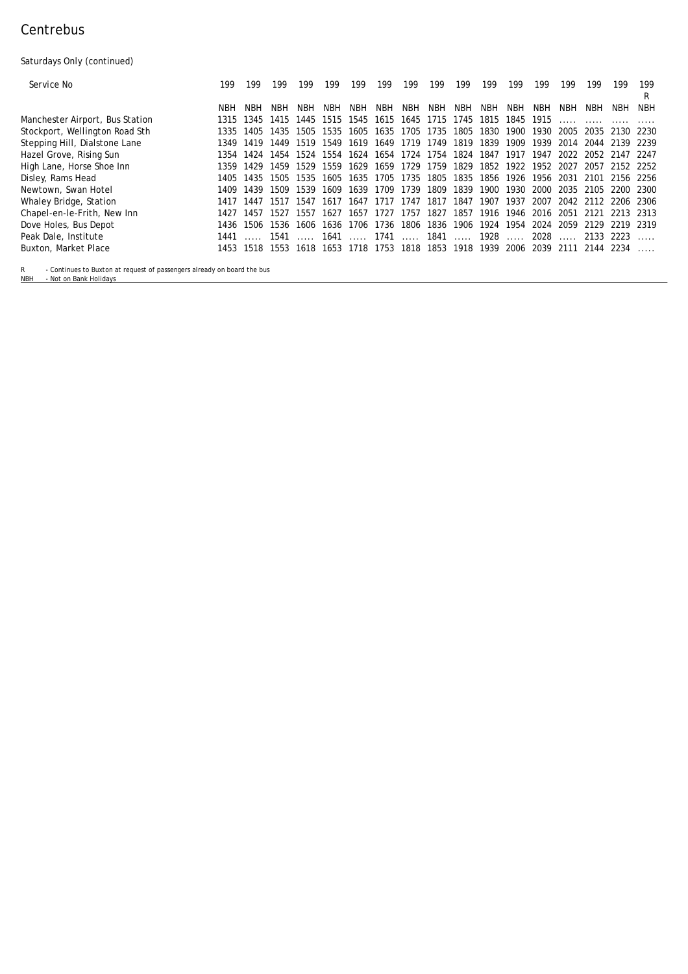# Centrebus

Saturdays Only (continued)

| <b>Service No</b>                      | 199        | 199       | 199  | 199  | 199                    | 199  | 199        | 199            | 199                 | 199       | 199     | 199       | 199  | 199                         | 199       | 199                      | 199        |
|----------------------------------------|------------|-----------|------|------|------------------------|------|------------|----------------|---------------------|-----------|---------|-----------|------|-----------------------------|-----------|--------------------------|------------|
|                                        | <b>NBH</b> | NBH       | NBH  | NBH  | NBH                    | NBH  | <b>NBH</b> | NBH            | NBH                 | NBH       | NBH     | NBH       | NBH  | NBH                         | NBH       | NBH                      | <b>NBH</b> |
| <b>Manchester Airport, Bus Station</b> | 1315       | 1345      | 1415 | 1445 | 1515                   | 1545 | 1615       |                | 1645 1715           | 1745      | 1815    | 1845      | 1915 |                             |           |                          |            |
| Stockport, Wellington Road Sth         | 1335       | 1405      | 1435 | 1505 | 1535                   | 1605 |            | 1635 1705 1735 |                     | 1805      | 1830    | 1900      | 1930 | 2005                        |           | 2035 2130 2230           |            |
| <b>Stepping Hill, Dialstone Lane</b>   | 1349       | 1419      | 1449 | 1519 | 1549                   | 1619 |            |                | 1649 1719 1749      | 1819      | 1839    | 1909      | 1939 |                             |           | 2014 2044 2139 2239      |            |
| <b>Hazel Grove, Rising Sun</b>         | 1354       | 1424      | 1454 | 1524 | 1554                   | 1624 |            |                | 1654 1724 1754      | 1824      | 1847    | 1917      | 1947 | 2022                        |           | 2052 2147 2247           |            |
| <b>High Lane, Horse Shoe Inn</b>       | 1359       | 1429      | 1459 | 1529 | 1559                   | 1629 |            | 1659 1729 1759 |                     | 1829      | 1852    | 1922      | 1952 | 2027                        |           | 2057 2152 2252           |            |
| <b>Disley, Rams Head</b>               |            | 1405 1435 | 1505 | 1535 | 1605                   |      |            | 1635 1705 1735 |                     | 1805 1835 | 1856    | 1926      | 1956 |                             |           | 2031 2101 2156 2256      |            |
| Newtown, Swan Hotel                    | 1409       | 1439      | 1509 | 1539 | 1609                   | 1639 | 1709       | 1739           | 1809                | 1839      | 1900    | 1930      | 2000 | 2035                        | 2105      | 2200 2300                |            |
| <b>Whaley Bridge, Station</b>          | 1417       | 1447      | 1517 | 1547 | 1617                   |      |            | 1647 1717 1747 | 1817                | 1847      | 1907    | 1937      | 2007 |                             |           | 2042 2112 2206 2306      |            |
| <b>Chapel-en-le-Frith, New Inn</b>     | 1427       | 1457      | 1527 |      | 1557 1627              |      |            |                | 1657 1727 1757 1827 | 1857      | 1916    | 1946      |      |                             |           | 2016 2051 2121 2213 2313 |            |
| Dove Holes, Bus Depot                  |            | 1436 1506 | 1536 | 1606 | 1636                   |      | 1706 1736  | 1806           | 1836 1906           |           | 1924    | 1954      | 2024 | 2059                        |           | 2129 2219 2319           |            |
| Peak Dale, Institute                   | 1441       |           |      |      | 1541  1641  1741  1841 |      |            |                |                     |           | …… 1928 | $\ddotsc$ | 2028 | $\sim$ $\sim$ $\sim$ $\sim$ |           | 2133 2223                |            |
| <b>Buxton, Market Place</b>            | 1453       | 1518      | 1553 | 1618 | 1653                   |      | 1718 1753  | 1818           | 1853                | 1918      | 1939    | 2006      | 2039 | 2111                        | 2144 2234 |                          |            |

R - Continues to Buxton at request of passengers already on board the bus NBH - Not on Bank Holidays